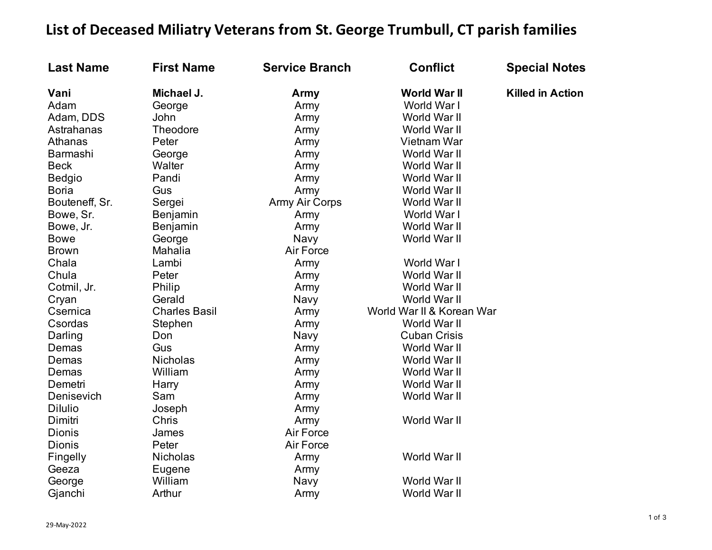## List of Deceased Miliatry Veterans from St. George Trumbull, CT parish families

| <b>Last Name</b> | <b>First Name</b>    | <b>Service Branch</b> | <b>Conflict</b>           | <b>Special Notes</b>    |
|------------------|----------------------|-----------------------|---------------------------|-------------------------|
| Vani             | Michael J.           | Army                  | <b>World War II</b>       | <b>Killed in Action</b> |
| Adam             | George               | Army                  | World War I               |                         |
| Adam, DDS        | John                 | Army                  | World War II              |                         |
| Astrahanas       | Theodore             | Army                  | World War II              |                         |
| Athanas          | Peter                | Army                  | Vietnam War               |                         |
| Barmashi         | George               | Army                  | World War II              |                         |
| <b>Beck</b>      | Walter               | Army                  | World War II              |                         |
| Bedgio           | Pandi                | Army                  | World War II              |                         |
| <b>Boria</b>     | Gus                  | Army                  | World War II              |                         |
| Bouteneff, Sr.   | Sergei               | <b>Army Air Corps</b> | World War II              |                         |
| Bowe, Sr.        | Benjamin             | Army                  | World War I               |                         |
| Bowe, Jr.        | Benjamin             | Army                  | World War II              |                         |
| <b>Bowe</b>      | George               | Navy                  | World War II              |                         |
| <b>Brown</b>     | Mahalia              | Air Force             |                           |                         |
| Chala            | Lambi                | Army                  | World War I               |                         |
| Chula            | Peter                | Army                  | World War II              |                         |
| Cotmil, Jr.      | Philip               | Army                  | World War II              |                         |
| Cryan            | Gerald               | Navy                  | World War II              |                         |
| Csernica         | <b>Charles Basil</b> | Army                  | World War II & Korean War |                         |
| Csordas          | Stephen              | Army                  | World War II              |                         |
| Darling          | Don                  | Navy                  | <b>Cuban Crisis</b>       |                         |
| Demas            | Gus                  | Army                  | World War II              |                         |
| Demas            | <b>Nicholas</b>      | Army                  | World War II              |                         |
| Demas            | William              | Army                  | World War II              |                         |
| Demetri          | Harry                | Army                  | World War II              |                         |
| Denisevich       | Sam                  | Army                  | World War II              |                         |
| <b>Dilulio</b>   | Joseph               | Army                  |                           |                         |
| Dimitri          | Chris                | Army                  | World War II              |                         |
| Dionis           | James                | Air Force             |                           |                         |
| <b>Dionis</b>    | Peter                | Air Force             |                           |                         |
| Fingelly         | Nicholas             | Army                  | World War II              |                         |
| Geeza            | Eugene               | Army                  |                           |                         |
| George           | William              | Navy                  | World War II              |                         |
| Gjanchi          | Arthur               | Army                  | World War II              |                         |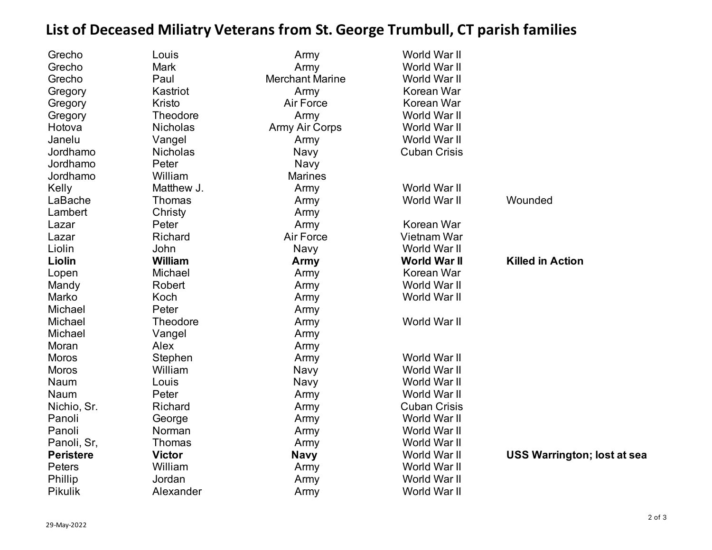## **List of Deceased Miliatry Veterans from St. George Trumbull, CT parish families**

| World War II<br>Grecho<br><b>Mark</b><br>Army<br>World War II<br>Grecho<br>Paul<br><b>Merchant Marine</b><br>Kastriot<br>Korean War<br>Gregory<br>Army<br>Kristo<br>Korean War<br>Air Force<br>Gregory<br>World War II<br><b>Theodore</b><br>Army<br>Gregory<br><b>Nicholas</b><br>World War II<br>Hotova<br><b>Army Air Corps</b><br>World War II<br>Janelu<br>Vangel<br>Army<br><b>Cuban Crisis</b><br>Jordhamo<br><b>Nicholas</b><br>Navy<br>Jordhamo<br>Peter<br>Navy<br>William<br>Jordhamo<br><b>Marines</b><br>Matthew J.<br>World War II<br>Kelly<br>Army<br>World War II<br>Wounded<br>LaBache<br>Thomas<br>Army<br>Lambert<br>Christy<br>Army<br>Peter<br>Korean War<br>Lazar<br>Army<br>Richard<br>Vietnam War<br>Air Force<br>Lazar<br>Liolin<br>John<br>World War II<br>Navy<br>Liolin<br><b>William</b><br><b>World War II</b><br><b>Killed in Action</b><br>Army<br>Michael<br>Korean War<br>Lopen<br>Army<br>World War II<br>Mandy<br>Robert<br>Army<br>Marko<br>Koch<br>World War II<br>Army<br>Michael<br>Peter<br>Army<br>World War II<br>Michael<br>Theodore<br>Army<br>Michael<br>Vangel<br>Army<br>Moran<br>Alex<br>Army<br>World War II<br><b>Moros</b><br>Stephen<br>Army<br>World War II<br><b>Moros</b><br>William<br>Navy<br>Naum<br>Louis<br>World War II<br>Navy<br>Naum<br>Peter<br>World War II<br>Army<br>Nichio, Sr.<br>Richard<br><b>Cuban Crisis</b><br>Army<br>Panoli<br>World War II<br>George<br>Army<br>Panoli<br>World War II<br>Norman<br>Army<br>Panoli, Sr,<br>Thomas<br>World War II<br>Army<br><b>Peristere</b><br><b>USS Warrington; lost at sea</b><br><b>Victor</b><br>World War II<br><b>Navy</b><br>William<br>Peters<br>World War II<br>Army<br>Phillip<br>Jordan<br>World War II<br>Army<br><b>Pikulik</b><br>World War II<br>Alexander<br>Army | Grecho | Louis | Army | World War II |  |
|-----------------------------------------------------------------------------------------------------------------------------------------------------------------------------------------------------------------------------------------------------------------------------------------------------------------------------------------------------------------------------------------------------------------------------------------------------------------------------------------------------------------------------------------------------------------------------------------------------------------------------------------------------------------------------------------------------------------------------------------------------------------------------------------------------------------------------------------------------------------------------------------------------------------------------------------------------------------------------------------------------------------------------------------------------------------------------------------------------------------------------------------------------------------------------------------------------------------------------------------------------------------------------------------------------------------------------------------------------------------------------------------------------------------------------------------------------------------------------------------------------------------------------------------------------------------------------------------------------------------------------------------------------------------------------------------------------------------------------------------------------------------------------------------------------|--------|-------|------|--------------|--|
|                                                                                                                                                                                                                                                                                                                                                                                                                                                                                                                                                                                                                                                                                                                                                                                                                                                                                                                                                                                                                                                                                                                                                                                                                                                                                                                                                                                                                                                                                                                                                                                                                                                                                                                                                                                                     |        |       |      |              |  |
|                                                                                                                                                                                                                                                                                                                                                                                                                                                                                                                                                                                                                                                                                                                                                                                                                                                                                                                                                                                                                                                                                                                                                                                                                                                                                                                                                                                                                                                                                                                                                                                                                                                                                                                                                                                                     |        |       |      |              |  |
|                                                                                                                                                                                                                                                                                                                                                                                                                                                                                                                                                                                                                                                                                                                                                                                                                                                                                                                                                                                                                                                                                                                                                                                                                                                                                                                                                                                                                                                                                                                                                                                                                                                                                                                                                                                                     |        |       |      |              |  |
|                                                                                                                                                                                                                                                                                                                                                                                                                                                                                                                                                                                                                                                                                                                                                                                                                                                                                                                                                                                                                                                                                                                                                                                                                                                                                                                                                                                                                                                                                                                                                                                                                                                                                                                                                                                                     |        |       |      |              |  |
|                                                                                                                                                                                                                                                                                                                                                                                                                                                                                                                                                                                                                                                                                                                                                                                                                                                                                                                                                                                                                                                                                                                                                                                                                                                                                                                                                                                                                                                                                                                                                                                                                                                                                                                                                                                                     |        |       |      |              |  |
|                                                                                                                                                                                                                                                                                                                                                                                                                                                                                                                                                                                                                                                                                                                                                                                                                                                                                                                                                                                                                                                                                                                                                                                                                                                                                                                                                                                                                                                                                                                                                                                                                                                                                                                                                                                                     |        |       |      |              |  |
|                                                                                                                                                                                                                                                                                                                                                                                                                                                                                                                                                                                                                                                                                                                                                                                                                                                                                                                                                                                                                                                                                                                                                                                                                                                                                                                                                                                                                                                                                                                                                                                                                                                                                                                                                                                                     |        |       |      |              |  |
|                                                                                                                                                                                                                                                                                                                                                                                                                                                                                                                                                                                                                                                                                                                                                                                                                                                                                                                                                                                                                                                                                                                                                                                                                                                                                                                                                                                                                                                                                                                                                                                                                                                                                                                                                                                                     |        |       |      |              |  |
|                                                                                                                                                                                                                                                                                                                                                                                                                                                                                                                                                                                                                                                                                                                                                                                                                                                                                                                                                                                                                                                                                                                                                                                                                                                                                                                                                                                                                                                                                                                                                                                                                                                                                                                                                                                                     |        |       |      |              |  |
|                                                                                                                                                                                                                                                                                                                                                                                                                                                                                                                                                                                                                                                                                                                                                                                                                                                                                                                                                                                                                                                                                                                                                                                                                                                                                                                                                                                                                                                                                                                                                                                                                                                                                                                                                                                                     |        |       |      |              |  |
|                                                                                                                                                                                                                                                                                                                                                                                                                                                                                                                                                                                                                                                                                                                                                                                                                                                                                                                                                                                                                                                                                                                                                                                                                                                                                                                                                                                                                                                                                                                                                                                                                                                                                                                                                                                                     |        |       |      |              |  |
|                                                                                                                                                                                                                                                                                                                                                                                                                                                                                                                                                                                                                                                                                                                                                                                                                                                                                                                                                                                                                                                                                                                                                                                                                                                                                                                                                                                                                                                                                                                                                                                                                                                                                                                                                                                                     |        |       |      |              |  |
|                                                                                                                                                                                                                                                                                                                                                                                                                                                                                                                                                                                                                                                                                                                                                                                                                                                                                                                                                                                                                                                                                                                                                                                                                                                                                                                                                                                                                                                                                                                                                                                                                                                                                                                                                                                                     |        |       |      |              |  |
|                                                                                                                                                                                                                                                                                                                                                                                                                                                                                                                                                                                                                                                                                                                                                                                                                                                                                                                                                                                                                                                                                                                                                                                                                                                                                                                                                                                                                                                                                                                                                                                                                                                                                                                                                                                                     |        |       |      |              |  |
|                                                                                                                                                                                                                                                                                                                                                                                                                                                                                                                                                                                                                                                                                                                                                                                                                                                                                                                                                                                                                                                                                                                                                                                                                                                                                                                                                                                                                                                                                                                                                                                                                                                                                                                                                                                                     |        |       |      |              |  |
|                                                                                                                                                                                                                                                                                                                                                                                                                                                                                                                                                                                                                                                                                                                                                                                                                                                                                                                                                                                                                                                                                                                                                                                                                                                                                                                                                                                                                                                                                                                                                                                                                                                                                                                                                                                                     |        |       |      |              |  |
|                                                                                                                                                                                                                                                                                                                                                                                                                                                                                                                                                                                                                                                                                                                                                                                                                                                                                                                                                                                                                                                                                                                                                                                                                                                                                                                                                                                                                                                                                                                                                                                                                                                                                                                                                                                                     |        |       |      |              |  |
|                                                                                                                                                                                                                                                                                                                                                                                                                                                                                                                                                                                                                                                                                                                                                                                                                                                                                                                                                                                                                                                                                                                                                                                                                                                                                                                                                                                                                                                                                                                                                                                                                                                                                                                                                                                                     |        |       |      |              |  |
|                                                                                                                                                                                                                                                                                                                                                                                                                                                                                                                                                                                                                                                                                                                                                                                                                                                                                                                                                                                                                                                                                                                                                                                                                                                                                                                                                                                                                                                                                                                                                                                                                                                                                                                                                                                                     |        |       |      |              |  |
|                                                                                                                                                                                                                                                                                                                                                                                                                                                                                                                                                                                                                                                                                                                                                                                                                                                                                                                                                                                                                                                                                                                                                                                                                                                                                                                                                                                                                                                                                                                                                                                                                                                                                                                                                                                                     |        |       |      |              |  |
|                                                                                                                                                                                                                                                                                                                                                                                                                                                                                                                                                                                                                                                                                                                                                                                                                                                                                                                                                                                                                                                                                                                                                                                                                                                                                                                                                                                                                                                                                                                                                                                                                                                                                                                                                                                                     |        |       |      |              |  |
|                                                                                                                                                                                                                                                                                                                                                                                                                                                                                                                                                                                                                                                                                                                                                                                                                                                                                                                                                                                                                                                                                                                                                                                                                                                                                                                                                                                                                                                                                                                                                                                                                                                                                                                                                                                                     |        |       |      |              |  |
|                                                                                                                                                                                                                                                                                                                                                                                                                                                                                                                                                                                                                                                                                                                                                                                                                                                                                                                                                                                                                                                                                                                                                                                                                                                                                                                                                                                                                                                                                                                                                                                                                                                                                                                                                                                                     |        |       |      |              |  |
|                                                                                                                                                                                                                                                                                                                                                                                                                                                                                                                                                                                                                                                                                                                                                                                                                                                                                                                                                                                                                                                                                                                                                                                                                                                                                                                                                                                                                                                                                                                                                                                                                                                                                                                                                                                                     |        |       |      |              |  |
|                                                                                                                                                                                                                                                                                                                                                                                                                                                                                                                                                                                                                                                                                                                                                                                                                                                                                                                                                                                                                                                                                                                                                                                                                                                                                                                                                                                                                                                                                                                                                                                                                                                                                                                                                                                                     |        |       |      |              |  |
|                                                                                                                                                                                                                                                                                                                                                                                                                                                                                                                                                                                                                                                                                                                                                                                                                                                                                                                                                                                                                                                                                                                                                                                                                                                                                                                                                                                                                                                                                                                                                                                                                                                                                                                                                                                                     |        |       |      |              |  |
|                                                                                                                                                                                                                                                                                                                                                                                                                                                                                                                                                                                                                                                                                                                                                                                                                                                                                                                                                                                                                                                                                                                                                                                                                                                                                                                                                                                                                                                                                                                                                                                                                                                                                                                                                                                                     |        |       |      |              |  |
|                                                                                                                                                                                                                                                                                                                                                                                                                                                                                                                                                                                                                                                                                                                                                                                                                                                                                                                                                                                                                                                                                                                                                                                                                                                                                                                                                                                                                                                                                                                                                                                                                                                                                                                                                                                                     |        |       |      |              |  |
|                                                                                                                                                                                                                                                                                                                                                                                                                                                                                                                                                                                                                                                                                                                                                                                                                                                                                                                                                                                                                                                                                                                                                                                                                                                                                                                                                                                                                                                                                                                                                                                                                                                                                                                                                                                                     |        |       |      |              |  |
|                                                                                                                                                                                                                                                                                                                                                                                                                                                                                                                                                                                                                                                                                                                                                                                                                                                                                                                                                                                                                                                                                                                                                                                                                                                                                                                                                                                                                                                                                                                                                                                                                                                                                                                                                                                                     |        |       |      |              |  |
|                                                                                                                                                                                                                                                                                                                                                                                                                                                                                                                                                                                                                                                                                                                                                                                                                                                                                                                                                                                                                                                                                                                                                                                                                                                                                                                                                                                                                                                                                                                                                                                                                                                                                                                                                                                                     |        |       |      |              |  |
|                                                                                                                                                                                                                                                                                                                                                                                                                                                                                                                                                                                                                                                                                                                                                                                                                                                                                                                                                                                                                                                                                                                                                                                                                                                                                                                                                                                                                                                                                                                                                                                                                                                                                                                                                                                                     |        |       |      |              |  |
|                                                                                                                                                                                                                                                                                                                                                                                                                                                                                                                                                                                                                                                                                                                                                                                                                                                                                                                                                                                                                                                                                                                                                                                                                                                                                                                                                                                                                                                                                                                                                                                                                                                                                                                                                                                                     |        |       |      |              |  |
|                                                                                                                                                                                                                                                                                                                                                                                                                                                                                                                                                                                                                                                                                                                                                                                                                                                                                                                                                                                                                                                                                                                                                                                                                                                                                                                                                                                                                                                                                                                                                                                                                                                                                                                                                                                                     |        |       |      |              |  |
|                                                                                                                                                                                                                                                                                                                                                                                                                                                                                                                                                                                                                                                                                                                                                                                                                                                                                                                                                                                                                                                                                                                                                                                                                                                                                                                                                                                                                                                                                                                                                                                                                                                                                                                                                                                                     |        |       |      |              |  |
|                                                                                                                                                                                                                                                                                                                                                                                                                                                                                                                                                                                                                                                                                                                                                                                                                                                                                                                                                                                                                                                                                                                                                                                                                                                                                                                                                                                                                                                                                                                                                                                                                                                                                                                                                                                                     |        |       |      |              |  |